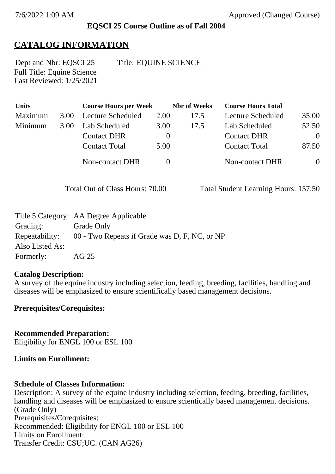### **EQSCI 25 Course Outline as of Fall 2004**

## **CATALOG INFORMATION**

Full Title: Equine Science Last Reviewed: 1/25/2021 Dept and Nbr: EQSCI 25 Title: EQUINE SCIENCE

**Units Course Hours per Week Nbr of Weeks Course Hours Total** Maximum 3.00 Lecture Scheduled 2.00 17.5 Lecture Scheduled 35.00 Minimum 3.00 Lab Scheduled 3.00 17.5 Lab Scheduled 52.50 Contact DHR 0 Contact DHR 0 Contact Total 5.00 Contact Total 87.50 Non-contact DHR 0 0 Non-contact DHR 0

Total Out of Class Hours: 70.00 Total Student Learning Hours: 157.50

|                 | Title 5 Category: AA Degree Applicable        |
|-----------------|-----------------------------------------------|
| Grading:        | Grade Only                                    |
| Repeatability:  | 00 - Two Repeats if Grade was D, F, NC, or NP |
| Also Listed As: |                                               |
| Formerly:       | AG 25                                         |

### **Catalog Description:**

A survey of the equine industry including selection, feeding, breeding, facilities, handling and diseases will be emphasized to ensure scientifically based management decisions.

### **Prerequisites/Corequisites:**

**Recommended Preparation:** Eligibility for ENGL 100 or ESL 100

### **Limits on Enrollment:**

### **Schedule of Classes Information:**

Description: A survey of the equine industry including selection, feeding, breeding, facilities, handling and diseases will be emphasized to ensure scientically based management decisions. (Grade Only) Prerequisites/Corequisites: Recommended: Eligibility for ENGL 100 or ESL 100 Limits on Enrollment: Transfer Credit: CSU;UC. (CAN AG26)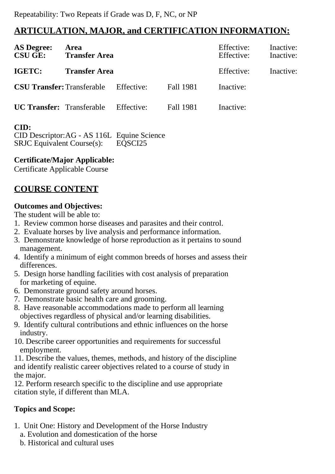# **ARTICULATION, MAJOR, and CERTIFICATION INFORMATION:**

| <b>AS Degree:</b><br><b>CSU GE:</b> | Area<br><b>Transfer Area</b> |            |                  | Effective:<br>Effective: | Inactive:<br>Inactive: |
|-------------------------------------|------------------------------|------------|------------------|--------------------------|------------------------|
| IGETC:                              | <b>Transfer Area</b>         |            |                  | Effective:               | Inactive:              |
| <b>CSU Transfer: Transferable</b>   |                              | Effective: | <b>Fall 1981</b> | Inactive:                |                        |
| <b>UC Transfer:</b> Transferable    |                              | Effective: | <b>Fall 1981</b> | Inactive:                |                        |
| CID:                                |                              |            |                  |                          |                        |

CID Descriptor:AG - AS 116L Equine Science SRJC Equivalent Course(s): EQSCI25

**Certificate/Major Applicable:** 

[Certificate Applicable Course](SR_ClassCheck.aspx?CourseKey=EQSCI25)

# **COURSE CONTENT**

### **Outcomes and Objectives:**

The student will be able to:

- 1. Review common horse diseases and parasites and their control.
- 2. Evaluate horses by live analysis and performance information.
- 3. Demonstrate knowledge of horse reproduction as it pertains to sound management.
- 4. Identify a minimum of eight common breeds of horses and assess their differences.
- 5. Design horse handling facilities with cost analysis of preparation for marketing of equine.
- 6. Demonstrate ground safety around horses.
- 7. Demonstrate basic health care and grooming.
- 8. Have reasonable accommodations made to perform all learning objectives regardless of physical and/or learning disabilities.
- 9. Identify cultural contributions and ethnic influences on the horse industry.
- 10. Describe career opportunities and requirements for successful employment.

11. Describe the values, themes, methods, and history of the discipline and identify realistic career objectives related to a course of study in the major.

12. Perform research specific to the discipline and use appropriate citation style, if different than MLA.

### **Topics and Scope:**

- 1. Unit One: History and Development of the Horse Industry
	- a. Evolution and domestication of the horse
	- b. Historical and cultural uses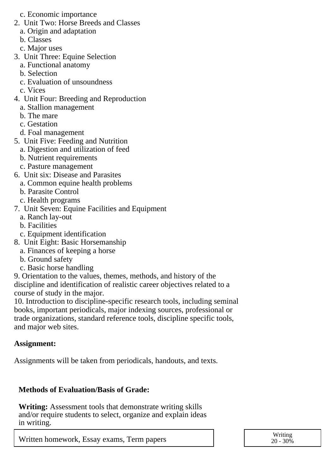- c. Economic importance
- 2. Unit Two: Horse Breeds and Classes
	- a. Origin and adaptation
	- b. Classes
	- c. Major uses
- 3. Unit Three: Equine Selection
	- a. Functional anatomy
	- b. Selection
	- c. Evaluation of unsoundness
	- c. Vices
- 4. Unit Four: Breeding and Reproduction
	- a. Stallion management
	- b. The mare
	- c. Gestation
	- d. Foal management
- 5. Unit Five: Feeding and Nutrition
	- a. Digestion and utilization of feed
	- b. Nutrient requirements
	- c. Pasture management
- 6. Unit six: Disease and Parasites
	- a. Common equine health problems
	- b. Parasite Control
	- c. Health programs
- 7. Unit Seven: Equine Facilities and Equipment
	- a. Ranch lay-out
	- b. Facilities
	- c. Equipment identification
- 8. Unit Eight: Basic Horsemanship
	- a. Finances of keeping a horse
	- b. Ground safety
	- c. Basic horse handling

9. Orientation to the values, themes, methods, and history of the discipline and identification of realistic career objectives related to a course of study in the major.

10. Introduction to discipline-specific research tools, including seminal books, important periodicals, major indexing sources, professional or trade organizations, standard reference tools, discipline specific tools, and major web sites.

### **Assignment:**

Assignments will be taken from periodicals, handouts, and texts.

### **Methods of Evaluation/Basis of Grade:**

**Writing:** Assessment tools that demonstrate writing skills and/or require students to select, organize and explain ideas in writing.

Written homework, Essay exams, Term papers  $\overline{a}$  and  $\overline{a}$  and  $\overline{a}$  and  $\overline{a}$  and  $\overline{a}$